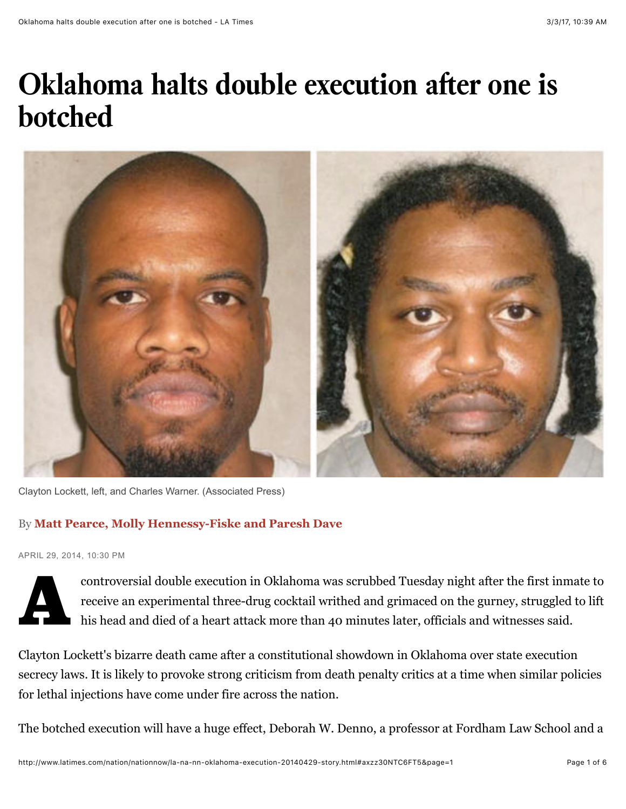## **Oklahoma halts double execution after one is botched**



Clayton Lockett, left, and Charles Warner. (Associated Press)

## By **[Matt Pearce,](http://www.latimes.com/la-bio-matt-pearce-staff.html#nt=byline) [Molly Hennessy-Fiske](http://www.latimes.com/la-bio-molly-hennessy-fiske-staff.html#nt=byline) and [Paresh Dave](http://www.latimes.com/local/la-bio-paresh-dave-staff.html#nt=byline)**

APRIL 29, 2014, 10:30 PM



controversial double execution in Oklahoma was scrubbed Tuesday night after the first inmate to receive an experimental three-drug cocktail writhed and grimaced on the gurney, struggled to lift his head and died of a heart attack more than 40 minutes later, officials and witnesses said.

Clayton Lockett's bizarre death came after a constitutional showdown in Oklahoma over state execution secrecy laws. It is likely to provoke strong criticism from death penalty critics at a time when similar policies for lethal injections have come under fire across the nation.

The botched execution will have a huge effect, Deborah W. Denno, a professor at Fordham Law School and a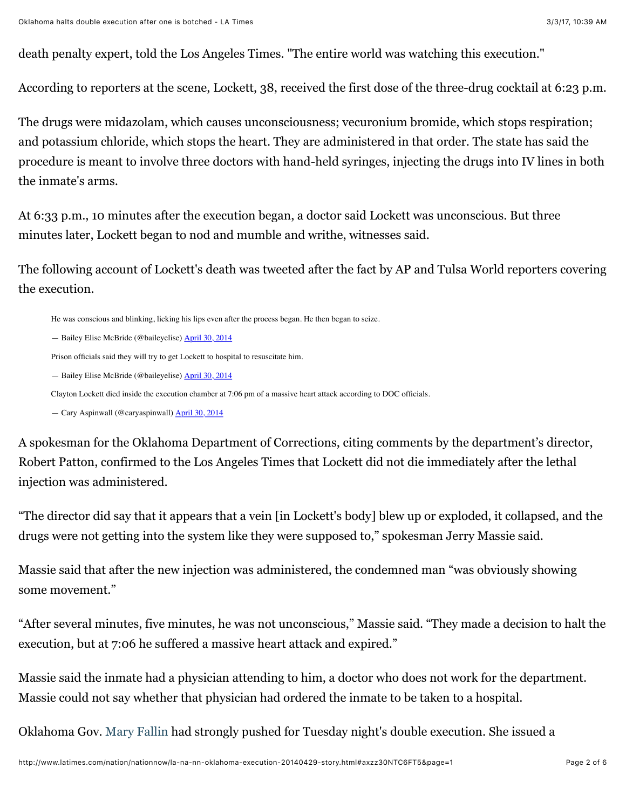death penalty expert, told the Los Angeles Times. "The entire world was watching this execution."

According to reporters at the scene, Lockett, 38, received the first dose of the three-drug cocktail at 6:23 p.m.

The drugs were midazolam, which causes unconsciousness; vecuronium bromide, which stops respiration; and potassium chloride, which stops the heart. They are administered in that order. The state has said the procedure is meant to involve three doctors with hand-held syringes, injecting the drugs into IV lines in both the inmate's arms.

At 6:33 p.m., 10 minutes after the execution began, a doctor said Lockett was unconscious. But three minutes later, Lockett began to nod and mumble and writhe, witnesses said.

The following account of Lockett's death was tweeted after the fact by AP and Tulsa World reporters covering the execution.

He was conscious and blinking, licking his lips even after the process began. He then began to seize.

— Bailey Elise McBride (@baileyelise) [April 30, 2014](https://twitter.com/baileyelise/statuses/461297375232159744)

Prison officials said they will try to get Lockett to hospital to resuscitate him.

— Bailey Elise McBride (@baileyelise) [April 30, 2014](https://twitter.com/baileyelise/statuses/461297234655862784)

Clayton Lockett died inside the execution chamber at 7:06 pm of a massive heart attack according to DOC officials.

— Cary Aspinwall (@caryaspinwall) [April 30, 2014](https://twitter.com/caryaspinwall/statuses/461300571031339008)

A spokesman for the Oklahoma Department of Corrections, citing comments by the department's director, Robert Patton, confirmed to the Los Angeles Times that Lockett did not die immediately after the lethal injection was administered.

"The director did say that it appears that a vein [in Lockett's body] blew up or exploded, it collapsed, and the drugs were not getting into the system like they were supposed to," spokesman Jerry Massie said.

Massie said that after the new injection was administered, the condemned man "was obviously showing some movement."

"After several minutes, five minutes, he was not unconscious," Massie said. "They made a decision to halt the execution, but at 7:06 he suffered a massive heart attack and expired."

Massie said the inmate had a physician attending to him, a doctor who does not work for the department. Massie could not say whether that physician had ordered the inmate to be taken to a hospital.

Oklahoma Gov. [Mary Fallin](http://www.latimes.com/topic/politics-government/government/mary-fallin-PEPLT00007689-topic.html) had strongly pushed for Tuesday night's double execution. She issued a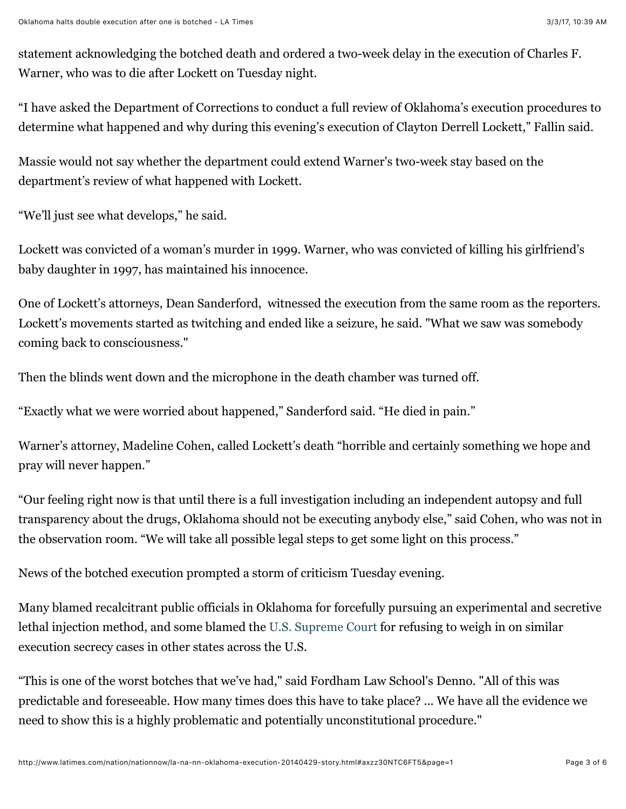statement acknowledging the botched death and ordered a two-week delay in the execution of Charles F. Warner, who was to die after Lockett on Tuesday night.

"I have asked the Department of Corrections to conduct a full review of Oklahoma's execution procedures to determine what happened and why during this evening's execution of Clayton Derrell Lockett," Fallin said.

Massie would not say whether the department could extend Warner's two-week stay based on the department's review of what happened with Lockett.

"We'll just see what develops," he said.

Lockett was convicted of a woman's murder in 1999. Warner, who was convicted of killing his girlfriend's baby daughter in 1997, has maintained his innocence.

One of Lockett's attorneys, Dean Sanderford, witnessed the execution from the same room as the reporters. Lockett's movements started as twitching and ended like a seizure, he said. "What we saw was somebody coming back to consciousness."

Then the blinds went down and the microphone in the death chamber was turned off.

"Exactly what we were worried about happened," Sanderford said. "He died in pain."

Warner's attorney, Madeline Cohen, called Lockett's death "horrible and certainly something we hope and pray will never happen."

"Our feeling right now is that until there is a full investigation including an independent autopsy and full transparency about the drugs, Oklahoma should not be executing anybody else," said Cohen, who was not in the observation room. "We will take all possible legal steps to get some light on this process."

News of the botched execution prompted a storm of criticism Tuesday evening.

Many blamed recalcitrant public officials in Oklahoma for forcefully pursuing an experimental and secretive lethal injection method, and some blamed the [U.S. Supreme Court](http://www.latimes.com/topic/crime-law-justice/justice-system/u.s.-supreme-court-ORGOV0000126-topic.html) for refusing to weigh in on similar execution secrecy cases in other states across the U.S.

"This is one of the worst botches that we've had," said Fordham Law School's Denno. "All of this was predictable and foreseeable. How many times does this have to take place? ... We have all the evidence we need to show this is a highly problematic and potentially unconstitutional procedure."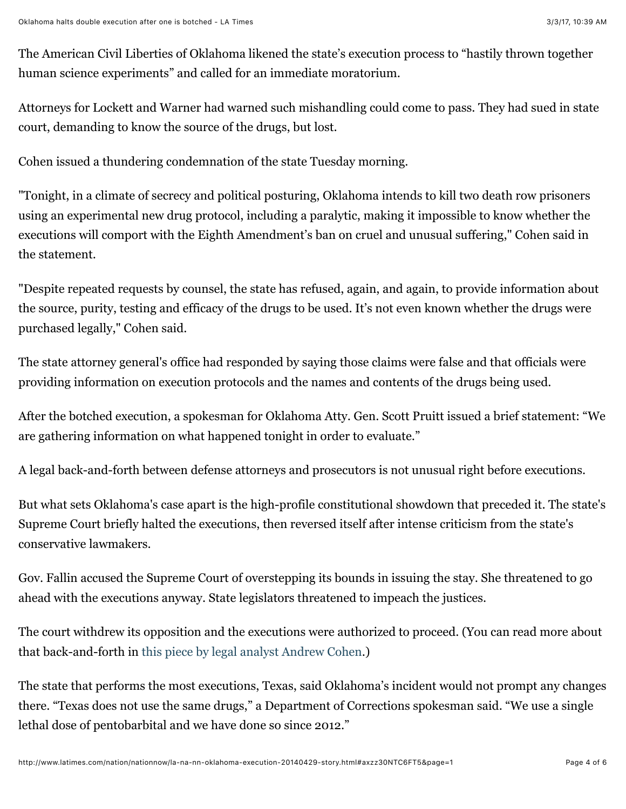The American Civil Liberties of Oklahoma likened the state's execution process to "hastily thrown together human science experiments" and called for an immediate moratorium.

Attorneys for Lockett and Warner had warned such mishandling could come to pass. They had sued in state court, demanding to know the source of the drugs, but lost.

Cohen issued a thundering condemnation of the state Tuesday morning.

"Tonight, in a climate of secrecy and political posturing, Oklahoma intends to kill two death row prisoners using an experimental new drug protocol, including a paralytic, making it impossible to know whether the executions will comport with the Eighth Amendment's ban on cruel and unusual suffering," Cohen said in the statement.

"Despite repeated requests by counsel, the state has refused, again, and again, to provide information about the source, purity, testing and efficacy of the drugs to be used. It's not even known whether the drugs were purchased legally," Cohen said.

The state attorney general's office had responded by saying those claims were false and that officials were providing information on execution protocols and the names and contents of the drugs being used.

After the botched execution, a spokesman for Oklahoma Atty. Gen. Scott Pruitt issued a brief statement: "We are gathering information on what happened tonight in order to evaluate."

A legal back-and-forth between defense attorneys and prosecutors is not unusual right before executions.

But what sets Oklahoma's case apart is the high-profile constitutional showdown that preceded it. The state's Supreme Court briefly halted the executions, then reversed itself after intense criticism from the state's conservative lawmakers.

Gov. Fallin accused the Supreme Court of overstepping its bounds in issuing the stay. She threatened to go ahead with the executions anyway. State legislators threatened to impeach the justices.

The court withdrew its opposition and the executions were authorized to proceed. (You can read more about that back-and-forth in [this piece by legal analyst Andrew Cohen](http://theweek.com/article/index/260632/oklahoma-just-neutered-its-state-supreme-court).)

The state that performs the most executions, Texas, said Oklahoma's incident would not prompt any changes there. "Texas does not use the same drugs," a Department of Corrections spokesman said. "We use a single lethal dose of pentobarbital and we have done so since 2012."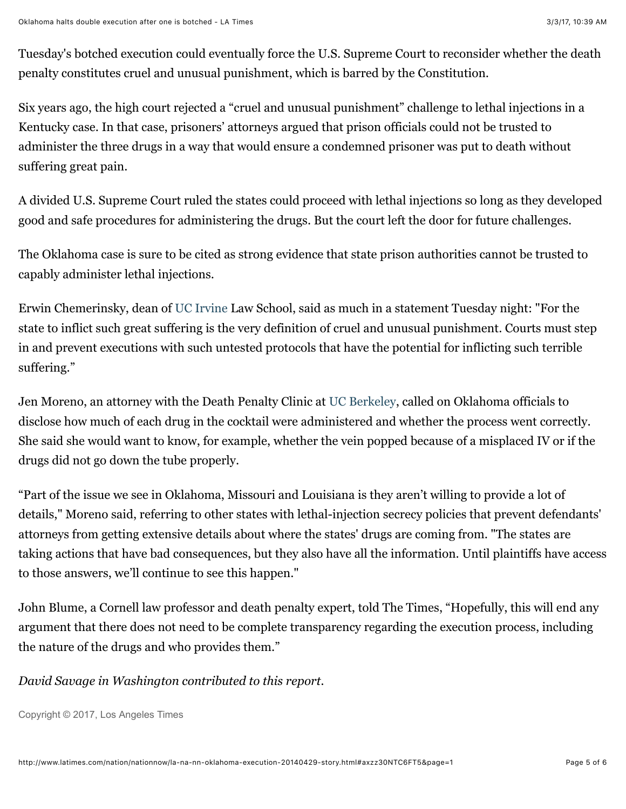Tuesday's botched execution could eventually force the U.S. Supreme Court to reconsider whether the death penalty constitutes cruel and unusual punishment, which is barred by the Constitution.

Six years ago, the high court rejected a "cruel and unusual punishment" challenge to lethal injections in a Kentucky case. In that case, prisoners' attorneys argued that prison officials could not be trusted to administer the three drugs in a way that would ensure a condemned prisoner was put to death without suffering great pain.

A divided U.S. Supreme Court ruled the states could proceed with lethal injections so long as they developed good and safe procedures for administering the drugs. But the court left the door for future challenges.

The Oklahoma case is sure to be cited as strong evidence that state prison authorities cannot be trusted to capably administer lethal injections.

Erwin Chemerinsky, dean of [UC Irvine](http://www.latimes.com/topic/education/colleges-universities/uc-irvine-OREDU00000198-topic.html) Law School, said as much in a statement Tuesday night: "For the state to inflict such great suffering is the very definition of cruel and unusual punishment. Courts must step in and prevent executions with such untested protocols that have the potential for inflicting such terrible suffering."

Jen Moreno, an attorney with the Death Penalty Clinic at [UC Berkeley,](http://www.latimes.com/topic/education/colleges-universities/uc-berkeley-OREDU00000197-topic.html) called on Oklahoma officials to disclose how much of each drug in the cocktail were administered and whether the process went correctly. She said she would want to know, for example, whether the vein popped because of a misplaced IV or if the drugs did not go down the tube properly.

"Part of the issue we see in Oklahoma, Missouri and Louisiana is they aren't willing to provide a lot of details," Moreno said, referring to other states with lethal-injection secrecy policies that prevent defendants' attorneys from getting extensive details about where the states' drugs are coming from. "The states are taking actions that have bad consequences, but they also have all the information. Until plaintiffs have access to those answers, we'll continue to see this happen."

John Blume, a Cornell law professor and death penalty expert, told The Times, "Hopefully, this will end any argument that there does not need to be complete transparency regarding the execution process, including the nature of the drugs and who provides them."

## *David Savage in Washington contributed to this report.*

Copyright © 2017, [Los Angeles Times](http://www.latimes.com/)